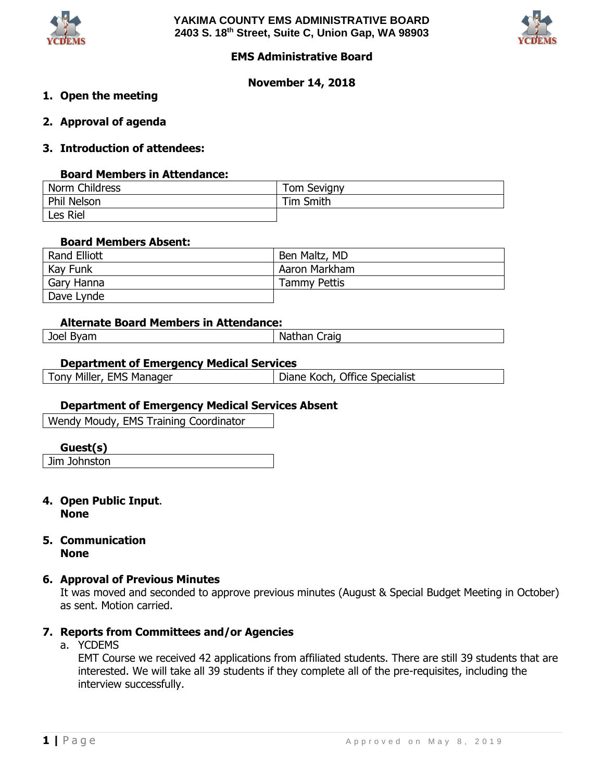



# **EMS Administrative Board**

### **November 14, 2018**

- **1. Open the meeting**
- **2. Approval of agenda**
- **3. Introduction of attendees:**

### **Board Members in Attendance:**

| Norm Childress | <b>Tom Sevigny</b> |
|----------------|--------------------|
| Phil Nelson    | Tim Smith          |
| Les Riel       |                    |

#### **Board Members Absent:**

| Rand Elliott | Ben Maltz, MD       |
|--------------|---------------------|
| Kay Funk     | Aaron Markham       |
| Gary Hanna   | <b>Tammy Pettis</b> |
| Dave Lynde   |                     |

### **Alternate Board Members in Attendance:**

Joel Byam Nathan Craig

### **Department of Emergency Medical Services**

Tony Miller, EMS Manager | Diane Koch, Office Specialist

### **Department of Emergency Medical Services Absent**

Wendy Moudy, EMS Training Coordinator

#### **Guest(s)**

Jim Johnston

### **4. Open Public Input**. **None**

### **5. Communication None**

### **6. Approval of Previous Minutes**

It was moved and seconded to approve previous minutes (August & Special Budget Meeting in October) as sent. Motion carried.

# **7. Reports from Committees and/or Agencies**

a. YCDEMS

EMT Course we received 42 applications from affiliated students. There are still 39 students that are interested. We will take all 39 students if they complete all of the pre-requisites, including the interview successfully.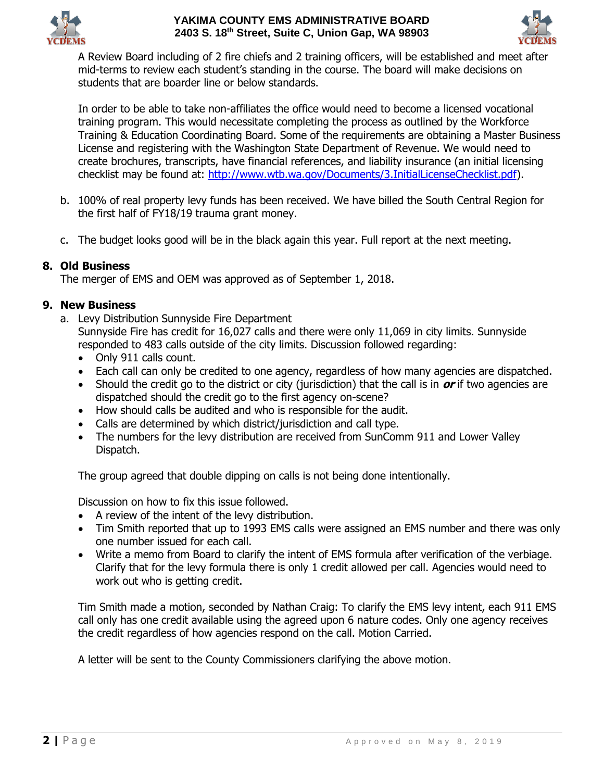



A Review Board including of 2 fire chiefs and 2 training officers, will be established and meet after mid-terms to review each student's standing in the course. The board will make decisions on students that are boarder line or below standards.

In order to be able to take non-affiliates the office would need to become a licensed vocational training program. This would necessitate completing the process as outlined by the Workforce Training & Education Coordinating Board. Some of the requirements are obtaining a Master Business License and registering with the Washington State Department of Revenue. We would need to create brochures, transcripts, have financial references, and liability insurance (an initial licensing checklist may be found at: [http://www.wtb.wa.gov/Documents/3.InitialLicenseChecklist.pdf\)](http://www.wtb.wa.gov/Documents/3.InitialLicenseChecklist.pdf).

- b. 100% of real property levy funds has been received. We have billed the South Central Region for the first half of FY18/19 trauma grant money.
- c. The budget looks good will be in the black again this year. Full report at the next meeting.

# **8. Old Business**

The merger of EMS and OEM was approved as of September 1, 2018.

# **9. New Business**

a. Levy Distribution Sunnyside Fire Department

Sunnyside Fire has credit for 16,027 calls and there were only 11,069 in city limits. Sunnyside responded to 483 calls outside of the city limits. Discussion followed regarding:

- Only 911 calls count.
- Each call can only be credited to one agency, regardless of how many agencies are dispatched.
- Should the credit go to the district or city (jurisdiction) that the call is in **or** if two agencies are dispatched should the credit go to the first agency on-scene?
- How should calls be audited and who is responsible for the audit.
- Calls are determined by which district/jurisdiction and call type.
- The numbers for the levy distribution are received from SunComm 911 and Lower Valley Dispatch.

The group agreed that double dipping on calls is not being done intentionally.

Discussion on how to fix this issue followed.

- A review of the intent of the levy distribution.
- Tim Smith reported that up to 1993 EMS calls were assigned an EMS number and there was only one number issued for each call.
- Write a memo from Board to clarify the intent of EMS formula after verification of the verbiage. Clarify that for the levy formula there is only 1 credit allowed per call. Agencies would need to work out who is getting credit.

Tim Smith made a motion, seconded by Nathan Craig: To clarify the EMS levy intent, each 911 EMS call only has one credit available using the agreed upon 6 nature codes. Only one agency receives the credit regardless of how agencies respond on the call. Motion Carried.

A letter will be sent to the County Commissioners clarifying the above motion.